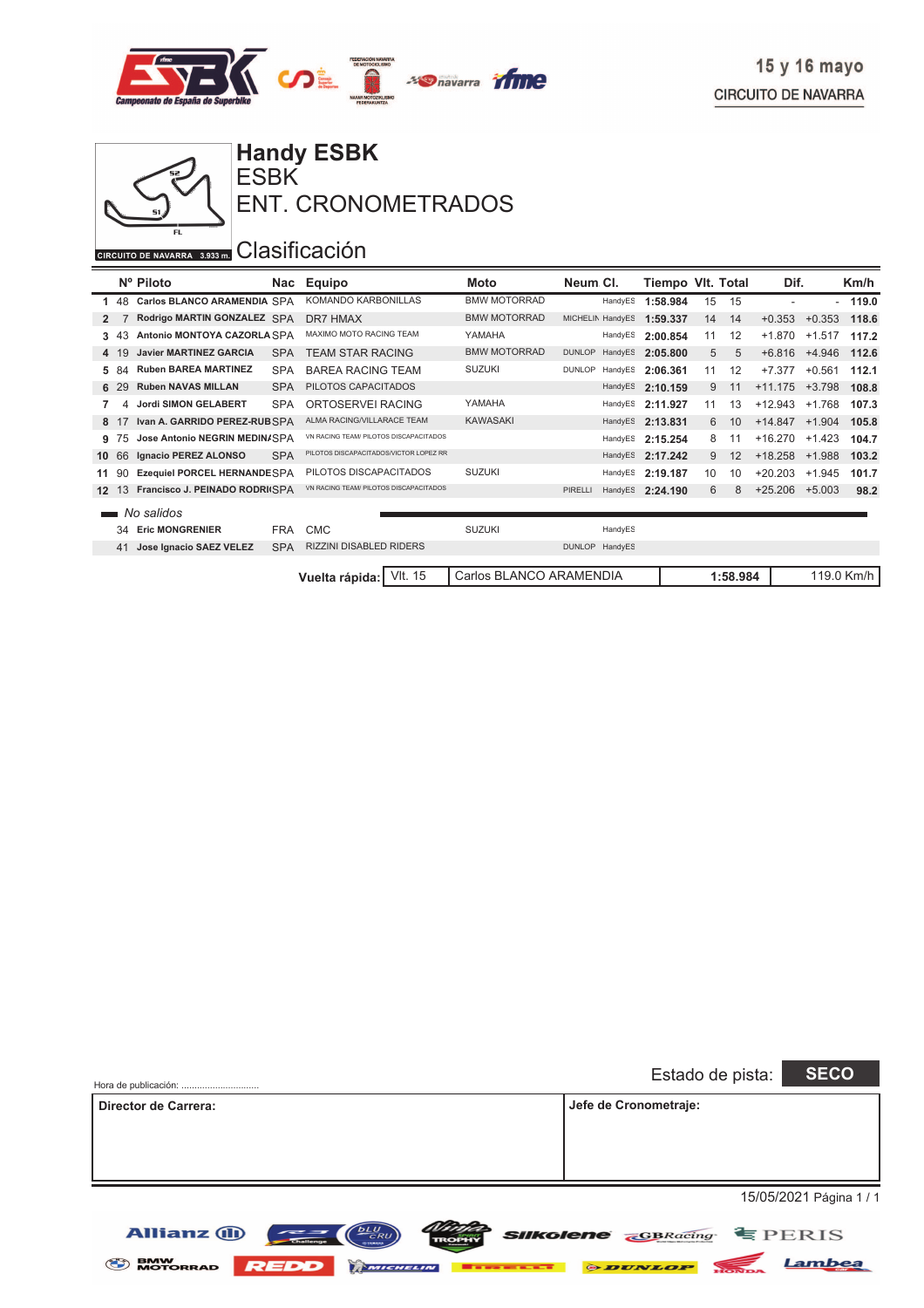



**Handy ESBK ESBK** ENT. CRONOMETRADOS

#### CIRCUITO DE NAVARRA 3.933 m. CIASIfICACIÓN

|                |     | Nº Piloto                        | Nac                     | Equipo                                 | Moto                | Neum Cl.       |                  |          | Tiempo VIt. Total |            | Dif.                     |          | Km/h     |
|----------------|-----|----------------------------------|-------------------------|----------------------------------------|---------------------|----------------|------------------|----------|-------------------|------------|--------------------------|----------|----------|
|                | 48  | Carlos BLANCO ARAMENDIA SPA      |                         | KOMANDO KARBONILLAS                    | <b>BMW MOTORRAD</b> |                | HandyES          | 1:58.984 | 15                | 15         | $\overline{\phantom{0}}$ |          | $-119.0$ |
| $\overline{2}$ |     | Rodrigo MARTIN GONZALEZ SPA      |                         | DR7 HMAX                               | <b>BMW MOTORRAD</b> |                | MICHELIN HandyES | 1:59.337 | 14                | 14         | $+0.353$                 | $+0.353$ | 118.6    |
| 3              | 43  | Antonio MONTOYA CAZORLA SPA      |                         | MAXIMO MOTO RACING TEAM                | YAMAHA              |                | HandyES          | 2:00.854 | 11                | 12         | $+1.870$                 | $+1.517$ | 117.2    |
| 4              | 19  | <b>Javier MARTINEZ GARCIA</b>    | <b>SPA</b>              | <b>TEAM STAR RACING</b>                | <b>BMW MOTORRAD</b> | <b>DUNLOP</b>  | HandyES          | 2:05.800 | 5                 | 5          | $+6.816$                 | $+4.946$ | 112.6    |
| 5              | -84 | <b>Ruben BAREA MARTINEZ</b>      | <b>SPA</b>              | <b>BAREA RACING TEAM</b>               | <b>SUZUKI</b>       | <b>DUNLOP</b>  | HandyES          | 2:06.361 | 11                | 12         | $+7.377$                 | $+0.561$ | 112.1    |
| 6              | 29  | <b>Ruben NAVAS MILLAN</b>        | <b>SPA</b>              | PILOTOS CAPACITADOS                    |                     |                | HandyES          | 2:10.159 | 9                 | 11         | $+11.175$                | $+3.798$ | 108.8    |
|                |     | <b>Jordi SIMON GELABERT</b>      | <b>SPA</b>              | ORTOSERVEI RACING                      | YAMAHA              |                | HandyES          | 2:11.927 | 11                | 13         | +12.943                  | +1.768   | 107.3    |
| 8              |     | Ivan A. GARRIDO PEREZ-RUBSPA     |                         | ALMA RACING/VILLARACE TEAM             | <b>KAWASAKI</b>     |                | HandyES          | 2:13.831 | 6                 | 10         | $+14.847$                | $+1.904$ | 105.8    |
| 9              | 75  | Jose Antonio NEGRIN MEDIN/SPA    |                         | VN RACING TEAM/ PILOTOS DISCAPACITADOS |                     |                | HandyES          | 2:15.254 | 8                 | 11         | +16.270                  | $+1.423$ | 104.7    |
| 10             | 66  | Ignacio PEREZ ALONSO             | <b>SPA</b>              | PILOTOS DISCAPACITADOS/VICTOR LOPEZ RR |                     |                | HandyES          | 2:17.242 | 9                 | 12         | $+18.258$                | $+1.988$ | 103.2    |
| 11             | 90  | Ezequiel PORCEL HERNANDESPA      |                         | PILOTOS DISCAPACITADOS                 | <b>SUZUKI</b>       |                | HandyES          | 2:19.187 | 10                | 10         | $+20.203$                | $+1.945$ | 101.7    |
| 12             | 13  | Francisco J. PEINADO RODRI(SPA   |                         | VN RACING TEAM/ PILOTOS DISCAPACITADOS |                     | <b>PIRELLI</b> | HandyES          | 2:24.190 | 6                 | 8          | $+25.206$                | $+5.003$ | 98.2     |
|                |     | No salidos                       |                         |                                        |                     |                |                  |          |                   |            |                          |          |          |
|                | 34  | <b>Eric MONGRENIER</b>           | <b>FRA</b>              | <b>CMC</b>                             | <b>SUZUKI</b>       |                | HandyES          |          |                   |            |                          |          |          |
|                | 41  | Jose Ignacio SAEZ VELEZ          | <b>SPA</b>              | <b>RIZZINI DISABLED RIDERS</b>         |                     |                | DUNLOP HandyES   |          |                   |            |                          |          |          |
|                |     |                                  |                         |                                        |                     |                |                  |          |                   |            |                          |          |          |
|                |     | <b>VIt. 15</b><br>Vuelta rápida: | Carlos BLANCO ARAMENDIA |                                        |                     |                |                  | 1:58.984 |                   | 119.0 Km/h |                          |          |          |

| Hora de publicación: |                                               |                       |                                   | <b>SECO</b><br>Estado de pista: |  |  |  |  |  |
|----------------------|-----------------------------------------------|-----------------------|-----------------------------------|---------------------------------|--|--|--|--|--|
| Director de Carrera: |                                               | Jefe de Cronometraje: |                                   |                                 |  |  |  |  |  |
|                      |                                               |                       |                                   |                                 |  |  |  |  |  |
|                      |                                               |                       |                                   |                                 |  |  |  |  |  |
|                      |                                               |                       |                                   | 15/05/2021 Página 1 / 1         |  |  |  |  |  |
| <b>Allianz (ii)</b>  | <b><i>BLU</i></b><br>$\sim$<br><b>GYAMANA</b> | TROPI                 | <b>Silkolene GBRacing E</b> PERIS |                                 |  |  |  |  |  |

**EDD** MOTORRAD **REDD** MICHELIN **Extends ODUNLOP** MONDA Lambea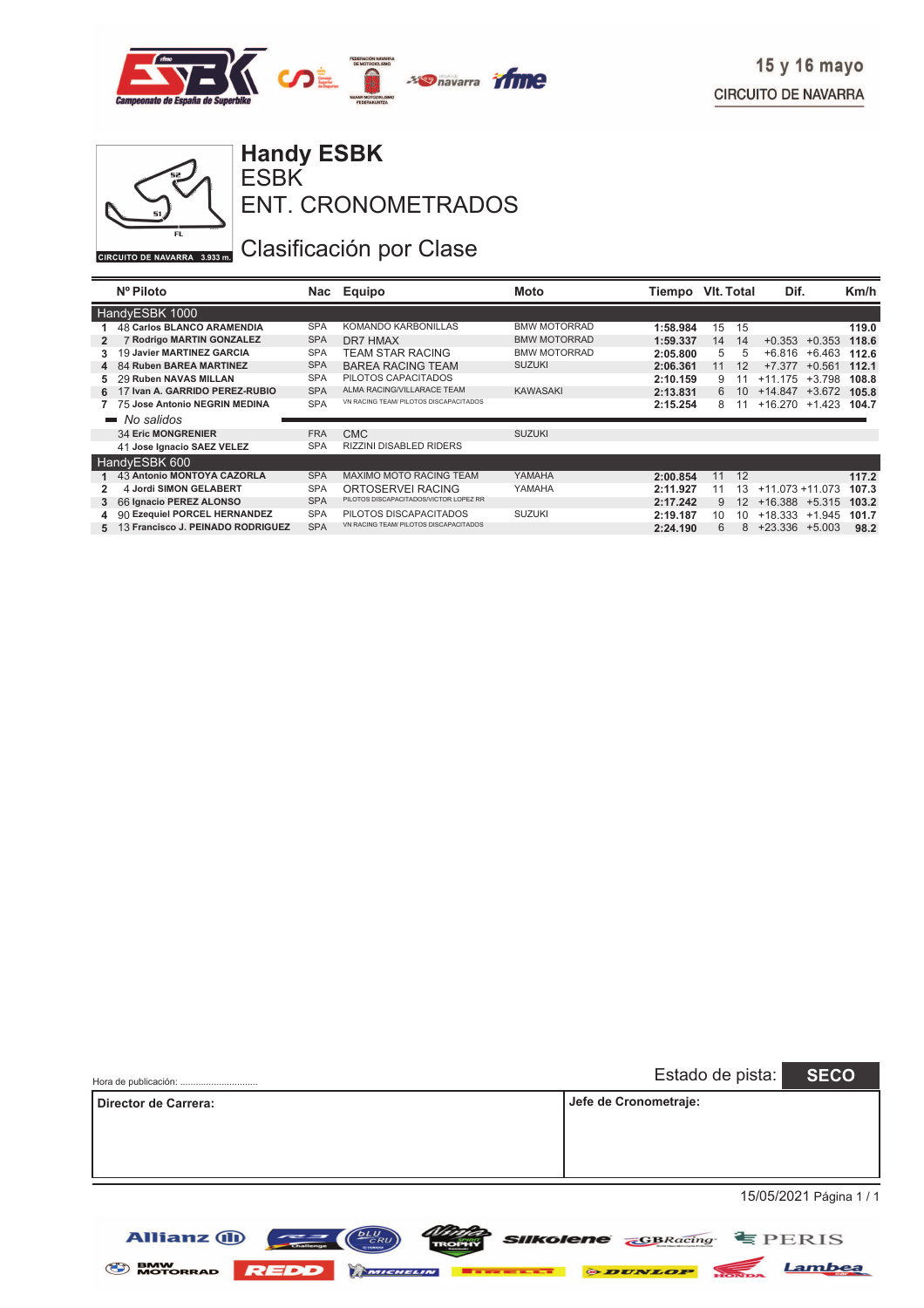



ESBK **Handy ESBK**

ENT. CRONOMETRADOS

### Clasificación por Clase

|   | Nº Piloto                         | Nac        | Equipo                                 | <b>Moto</b>         | Tiempo   | VIt. Total |    | Dif.               |          | Km/h  |
|---|-----------------------------------|------------|----------------------------------------|---------------------|----------|------------|----|--------------------|----------|-------|
|   | HandyESBK 1000                    |            |                                        |                     |          |            |    |                    |          |       |
|   | <b>48 Carlos BLANCO ARAMENDIA</b> | <b>SPA</b> | KOMANDO KARBONILLAS                    | <b>BMW MOTORRAD</b> | 1:58.984 | 15         | 15 |                    |          | 119.0 |
| 2 | 7 Rodrigo MARTIN GONZALEZ         | <b>SPA</b> | DR7 HMAX                               | <b>BMW MOTORRAD</b> | 1:59.337 | 14         | 14 | $+0.353$           | $+0.353$ | 118.6 |
|   | 19 Javier MARTINEZ GARCIA         | <b>SPA</b> | TEAM STAR RACING                       | <b>BMW MOTORRAD</b> | 2:05.800 | 5          | 5  | +6.816             | +6.463   | 112.6 |
|   | 4 84 Ruben BAREA MARTINEZ         | <b>SPA</b> | <b>BAREA RACING TEAM</b>               | <b>SUZUKI</b>       | 2:06.361 | 11         | 12 | $+7.377$           | $+0.561$ | 112.1 |
|   | 29 Ruben NAVAS MILLAN             | <b>SPA</b> | PILOTOS CAPACITADOS                    |                     | 2:10.159 | 9          |    | $+11.175$          | $+3.798$ | 108.8 |
|   | 17 Ivan A. GARRIDO PEREZ-RUBIO    | <b>SPA</b> | ALMA RACING/VILLARACE TEAM             | <b>KAWASAKI</b>     | 2:13.831 | 6          | 10 | $+14.847$          | $+3.672$ | 105.8 |
|   | 75 Jose Antonio NEGRIN MEDINA     | <b>SPA</b> | VN RACING TEAM/ PILOTOS DISCAPACITADOS |                     | 2:15.254 | 8          |    | +16.270            | $+1.423$ | 104.7 |
|   | $\blacksquare$ No salidos         |            |                                        |                     |          |            |    |                    |          |       |
|   | <b>34 Eric MONGRENIER</b>         | <b>FRA</b> | <b>CMC</b>                             | <b>SUZUKI</b>       |          |            |    |                    |          |       |
|   | 41 Jose Ignacio SAEZ VELEZ        | <b>SPA</b> | RIZZINI DISABLED RIDERS                |                     |          |            |    |                    |          |       |
|   | HandyESBK 600                     |            |                                        |                     |          |            |    |                    |          |       |
|   | 43 Antonio MONTOYA CAZORLA        | <b>SPA</b> | MAXIMO MOTO RACING TEAM                | YAMAHA              | 2:00.854 | 11         | 12 |                    |          | 117.2 |
|   | 4 Jordi SIMON GELABERT            | <b>SPA</b> | ORTOSERVEI RACING                      | YAMAHA              | 2:11.927 | 11         | 13 | $+11.073 + 11.073$ |          | 107.3 |
| 3 | 66 Ignacio PEREZ ALONSO           | <b>SPA</b> | PILOTOS DISCAPACITADOS/VICTOR LOPEZ RR |                     | 2:17.242 | 9          | 12 | $+16.388$          | $+5.315$ | 103.2 |
| 4 | 90 Ezequiel PORCEL HERNANDEZ      | <b>SPA</b> | PILOTOS DISCAPACITADOS                 | <b>SUZUKI</b>       | 2:19.187 | 10         | 10 | $+18.333$          | $+1.945$ | 101.7 |
|   | 13 Francisco J. PEINADO RODRIGUEZ | <b>SPA</b> | VN RACING TEAM/ PILOTOS DISCAPACITADOS |                     | 2:24.190 | 6          | 8. | $+23.336$          | $+5.003$ | 98.2  |

| Hora de publicación: | Estado de pista: | <b>SECO</b>           |                         |
|----------------------|------------------|-----------------------|-------------------------|
| Director de Carrera: |                  | Jefe de Cronometraje: |                         |
|                      |                  |                       |                         |
|                      |                  |                       |                         |
|                      |                  |                       |                         |
|                      |                  |                       | 15/05/2021 Página 1 / 1 |

BMW MOTORRAD REDD MINIMUM **External SEDUNLOP** NONDA Lambea

 $\frac{bLU}{CRU}$ 

Allianz (i)

*Ninte* **SIIKolene GBRacing E** PERIS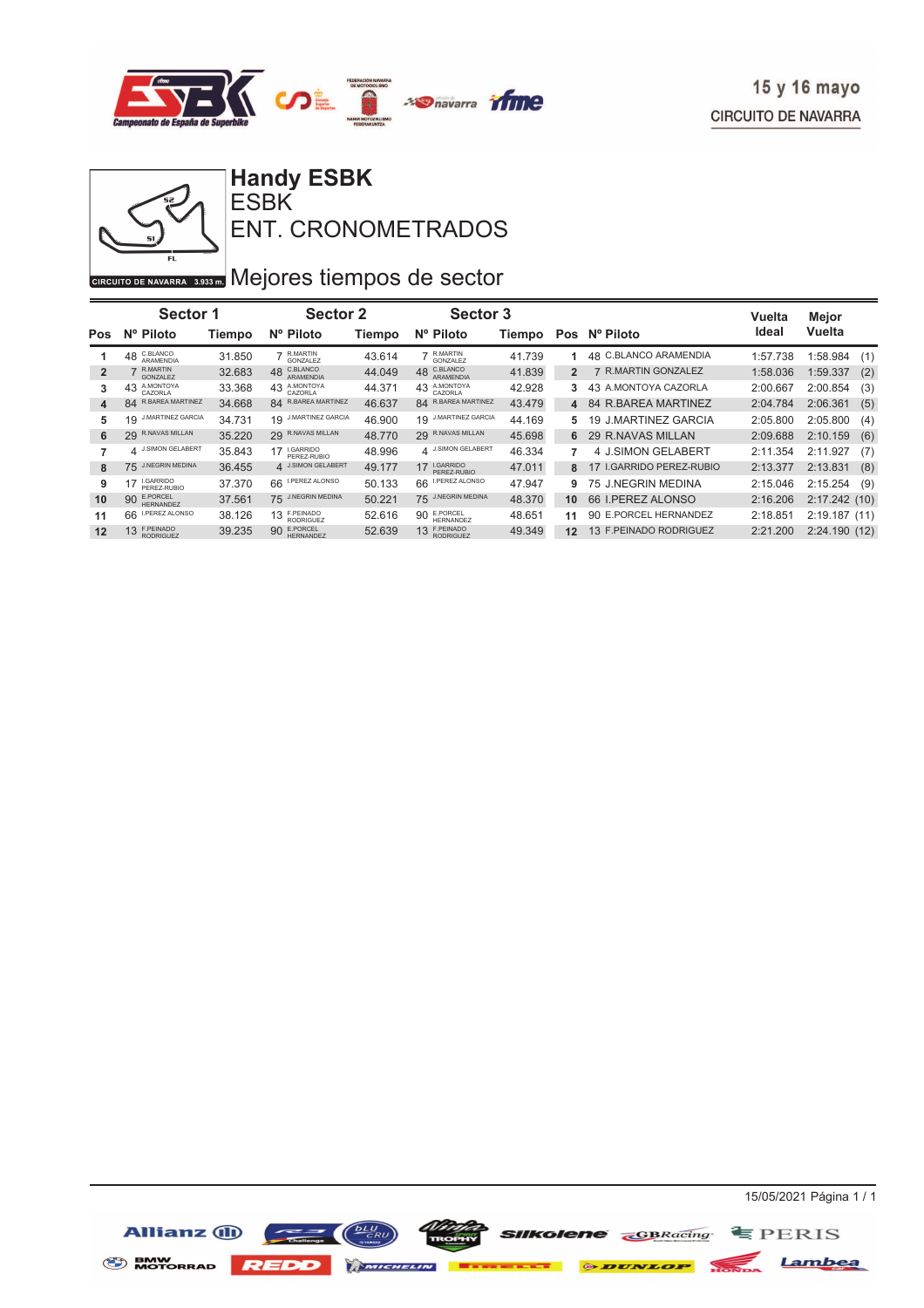



### ENT. CRONOMETRADOS **ESBK Handy ESBK**

GIRCUITO DE NAVARRA 3.933 DI Mejores tiempos de sector

|                | Sector 1                        |               | <b>Sector 2</b>                  |        | Sector 3                           |        |                   |                          | Vuelta       | Mejor           |
|----------------|---------------------------------|---------------|----------------------------------|--------|------------------------------------|--------|-------------------|--------------------------|--------------|-----------------|
| <b>Pos</b>     | Nº Piloto                       | <b>Tiempo</b> | Nº Piloto                        | Tiempo | Nº Piloto                          | Tiempo |                   | Pos Nº Piloto            | Ideal        | Vuelta          |
|                | C.BLANCO<br>48<br>ARAMENDIA     | 31.850        | R.MARTIN<br>GONZALEZ             | 43.614 | <b>R.MARTIN</b><br>GONZALEZ        | 41.739 |                   | 48 C.BLANCO ARAMENDIA    | .738<br>1:57 | 1:58.984<br>(1) |
| $\overline{2}$ | <b>R.MARTIN</b><br>GONZALEZ     | 32.683        | C.BLANCO<br>48<br>ARAMENDIA      | 44.049 | C.BLANCO<br>ARAMENDIA<br>48        | 41.839 | $\mathbf{2}$      | 7 R.MARTIN GONZALEZ      | 1:58.036     | (2)<br>1:59.337 |
| 3              | A.MONTOYA<br>43<br>CAZORLA      | 33.368        | A.MONTOYA<br>43<br>CAZORLA       | 44.371 | A.MONTOYA<br>43<br>CAZORLA         | 42.928 | 3.                | 43 A.MONTOYA CAZORLA     | 2:00.667     | (3)<br>2:00.854 |
| 4              | 84 R.BAREA MARTINEZ             | 34.668        | R.BAREA MARTINEZ<br>84           | 46.637 | R.BAREA MARTINEZ<br>84             | 43.479 | 4                 | 84 R.BAREA MARTINEZ      | 2:04.784     | (5)<br>2:06.361 |
| 5              | <b>J.MARTINEZ GARCIA</b><br>19  | 34.731        | 19 J.MARTINEZ GARCIA             | 46.900 | <b>J.MARTINEZ GARCIA</b><br>19     | 44.169 | 5.                | 19 J.MARTINEZ GARCIA     | 2:05.800     | 2:05.800<br>(4) |
| 6              | 29 R.NAVAS MILLAN               | 35.220        | 29 R.NAVAS MILLAN                | 48.770 | R.NAVAS MILLAN<br>29               | 45.698 | 6                 | 29 R.NAVAS MILLAN        | 2:09.688     | (6)<br>2:10.159 |
| 7              | 4 J.SIMON GELABERT              | 35.843        | I.GARRIDO<br>PEREZ-RUBIO         | 48.996 | 4 J.SIMON GELABERT                 | 46.334 |                   | 4 J.SIMON GELABERT       | 2:11.354     | 2:11.927<br>(7) |
| 8              | 75 J.NEGRIN MEDINA              | 36.455        | 4 J.SIMON GELABERT               | 49.177 | 17 LGARRIDO<br>PEREZ-RUBIO         | 47.011 | 8                 | 17 I.GARRIDO PEREZ-RUBIO | 2:13.377     | (8)<br>2:13.831 |
| 9              | I.GARRIDO<br>PEREZ-RUBIO        | 37.370        | <b>I.PEREZ ALONSO</b><br>66      | 50.133 | I.PEREZ ALONSO<br>66               | 47.947 | 9                 | 75 J.NEGRIN MEDINA       | 2:15.046     | 2:15.254<br>(9) |
| 10             | 90 E.PORCEL<br><b>HERNANDEZ</b> | 37.561        | 75 J.NEGRIN MEDINA               | 50.221 | <b>J.NEGRIN MEDINA</b><br>75       | 48.370 | 10                | 66 I.PEREZ ALONSO        | 2:16.206     | 2:17.242(10)    |
| 11             | <b>I.PEREZ ALONSO</b><br>66     | 38.126        | 13 F.PEINADO<br><b>RODRIGUEZ</b> | 52.616 | E.PORCEL<br>90<br><b>HERNANDEZ</b> | 48.651 | 11                | 90 E.PORCEL HERNANDEZ    | 2:18.851     | 2:19.187(11)    |
| 12             | 13 F.PEINADO                    | 39.235        | E.PORCEL<br>HERNANDEZ<br>90      | 52.639 | 13 F.PEINADO                       | 49.349 | $12 \overline{ }$ | 13 F.PEINADO RODRIGUEZ   | 2:21.200     | 2:24.190(12)    |

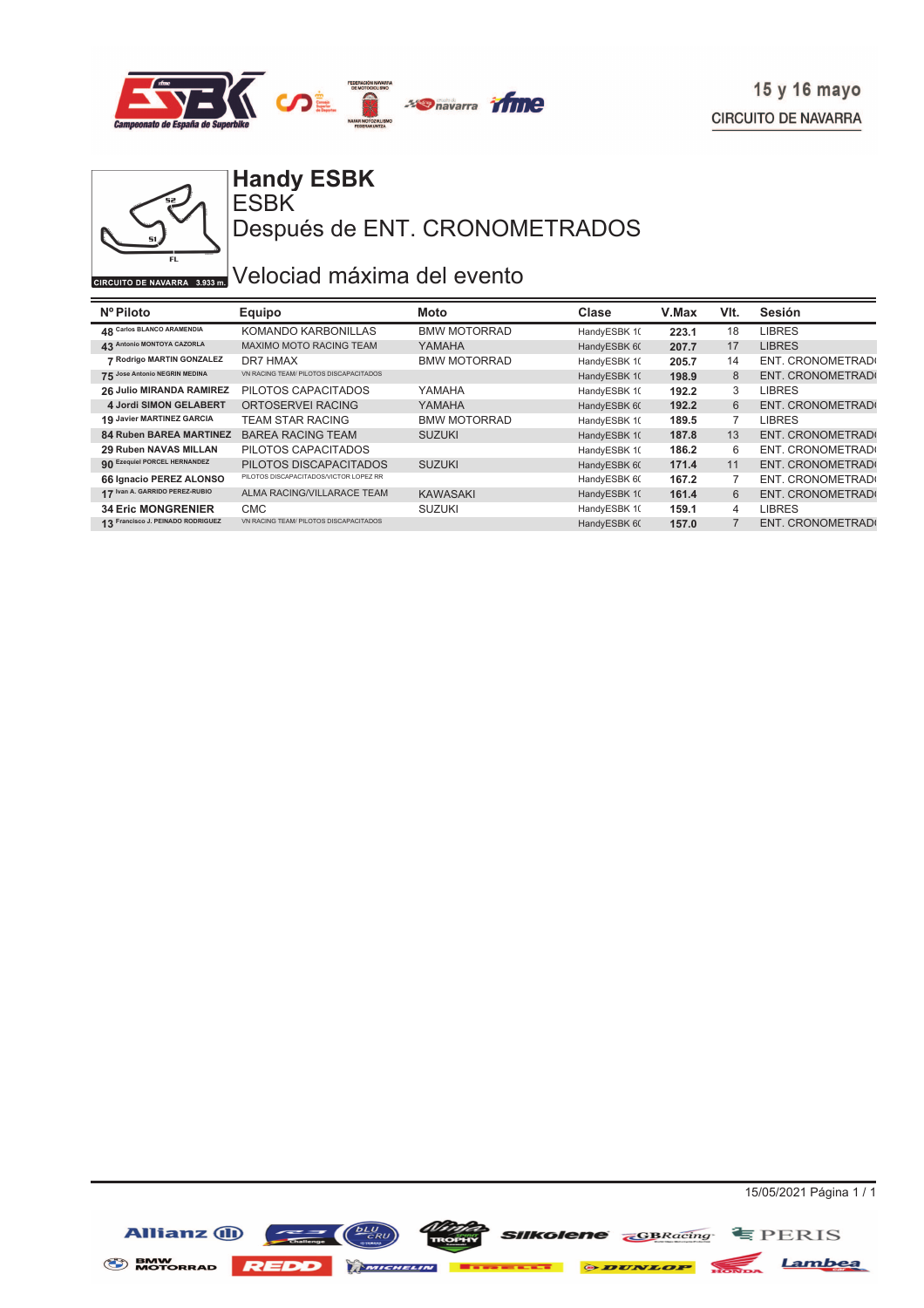



#### ESBK **Handy ESBK** Después de ENT. CRONOMETRADOS

# GIRCUITO DE NAVARRA 3.933 DI Velociad máxima del evento

| Nº Piloto                         | <b>Equipo</b>                          | Moto                | Clase        | V.Max | VIt. | Sesión                  |
|-----------------------------------|----------------------------------------|---------------------|--------------|-------|------|-------------------------|
| 48 Carlos BLANCO ARAMENDIA        | KOMANDO KARBONILLAS                    | <b>BMW MOTORRAD</b> | HandyESBK 10 | 223.1 | 18   | <b>LIBRES</b>           |
| 43 Antonio MONTOYA CAZORLA        | <b>MAXIMO MOTO RACING TEAM</b>         | YAMAHA              | HandyESBK 60 | 207.7 | 17   | <b>LIBRES</b>           |
| 7 Rodrigo MARTIN GONZALEZ         | DR7 HMAX                               | <b>BMW MOTORRAD</b> | HandyESBK 10 | 205.7 | 14   | ENT. CRONOMETRAD        |
| 75 Jose Antonio NEGRIN MEDINA     | VN RACING TEAM/ PILOTOS DISCAPACITADOS |                     | HandyESBK 10 | 198.9 | 8    | ENT. CRONOMETRAD        |
| 26 Julio MIRANDA RAMIREZ          | PILOTOS CAPACITADOS                    | YAMAHA              | HandyESBK 10 | 192.2 | 3    | <b>LIBRES</b>           |
| 4 Jordi SIMON GELABERT            | ORTOSERVEI RACING                      | YAMAHA              | HandyESBK 60 | 192.2 | 6    | <b>ENT. CRONOMETRAD</b> |
| 19 Javier MARTINEZ GARCIA         | <b>TEAM STAR RACING</b>                | <b>BMW MOTORRAD</b> | HandyESBK 10 | 189.5 | 7    | <b>LIBRES</b>           |
| 84 Ruben BAREA MARTINEZ           | <b>BAREA RACING TEAM</b>               | <b>SUZUKI</b>       | HandyESBK 10 | 187.8 | 13   | ENT. CRONOMETRAD        |
| 29 Ruben NAVAS MILLAN             | PILOTOS CAPACITADOS                    |                     | HandyESBK 10 | 186.2 | 6    | ENT. CRONOMETRAD        |
| 90 Ezequiel PORCEL HERNANDEZ      | PILOTOS DISCAPACITADOS                 | <b>SUZUKI</b>       | HandyESBK 60 | 171.4 | 11   | ENT. CRONOMETRAD        |
| 66 Ignacio PEREZ ALONSO           | PILOTOS DISCAPACITADOS/VICTOR LOPEZ RR |                     | HandyESBK 60 | 167.2 | 7    | ENT. CRONOMETRAD        |
| 17 Ivan A. GARRIDO PEREZ-RUBIO    | ALMA RACING/VILLARACE TEAM             | <b>KAWASAKI</b>     | HandyESBK 10 | 161.4 | 6    | ENT. CRONOMETRAD        |
| <b>34 Eric MONGRENIER</b>         | <b>CMC</b>                             | <b>SUZUKI</b>       | HandyESBK 10 | 159.1 | 4    | <b>LIBRES</b>           |
| 13 Francisco J. PEINADO RODRIGUEZ | VN RACING TEAM/ PILOTOS DISCAPACITADOS |                     | HandyESBK 60 | 157.0 | 7    | ENT. CRONOMETRAD(       |



Lambea

**Silkolene SBRacing** FPERIS

**DUNLOP** 

BMW MOTORRAD **REDD** MICHELIN

Allianz (1)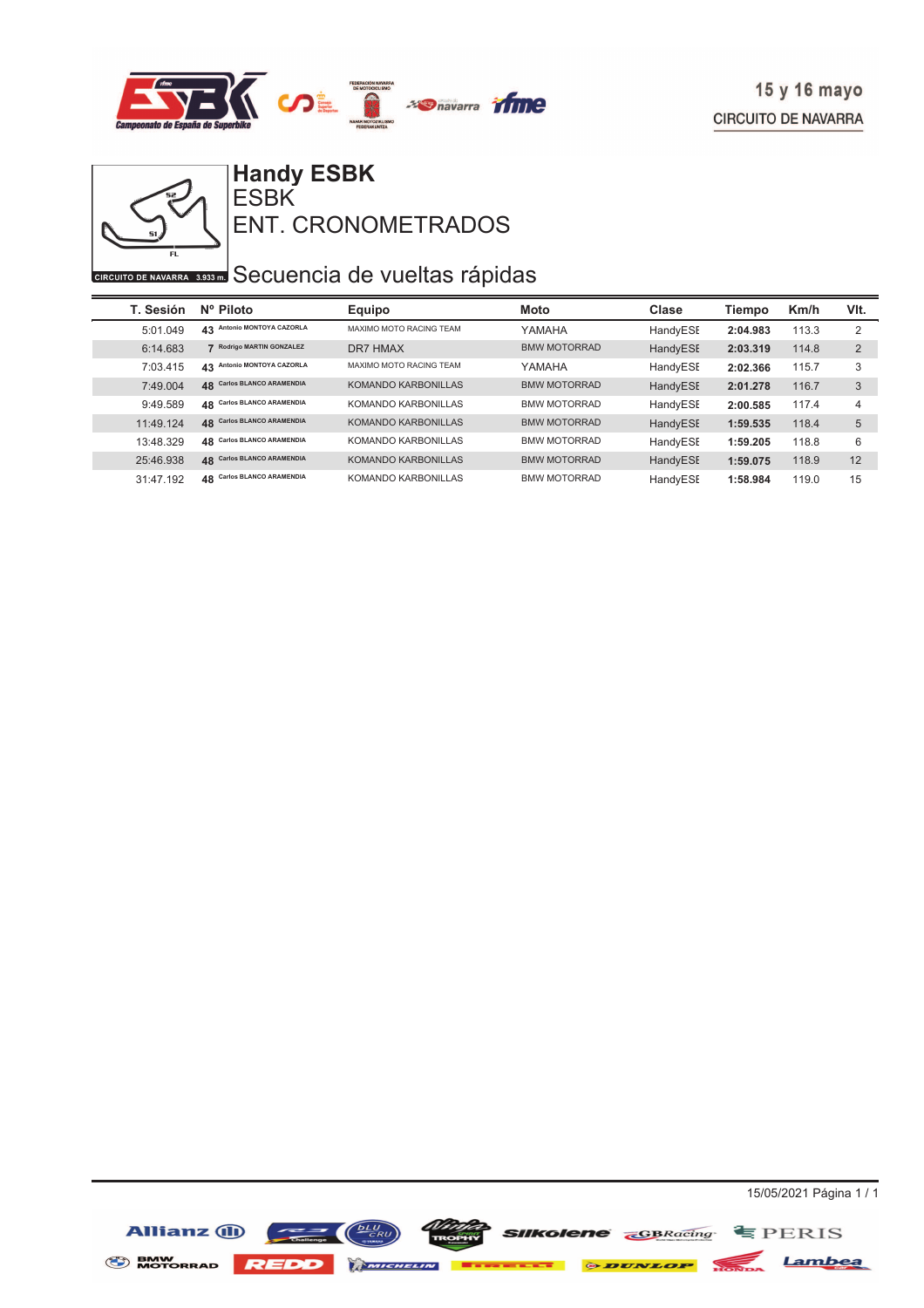



ENT. CRONOMETRADOS **ESBK Handy ESBK**

# **CIRCUITO DE NAVARRA 3533 ED** Secuencia de vueltas rápidas

| T. Sesión | $N^{\circ}$ Piloto                   | Equipo                     | Moto                | Clase    | <b>Tiempo</b> | Km/h  | VIt.           |
|-----------|--------------------------------------|----------------------------|---------------------|----------|---------------|-------|----------------|
| 5:01.049  | Antonio MONTOYA CAZORLA<br>43        | MAXIMO MOTO RACING TEAM    | YAMAHA              | HandyESE | 2:04.983      | 113.3 | 2              |
| 6:14.683  | 7 Rodrigo MARTIN GONZALEZ            | DR7 HMAX                   | <b>BMW MOTORRAD</b> | HandyESE | 2:03.319      | 114.8 | $\overline{2}$ |
| 7:03.415  | Antonio MONTOYA CAZORLA<br>43        | MAXIMO MOTO RACING TEAM    | YAMAHA              | HandyESE | 2:02.366      | 115.7 | 3              |
| 7:49.004  | 48 Carlos BLANCO ARAMENDIA           | KOMANDO KARBONILLAS        | <b>BMW MOTORRAD</b> | HandyESE | 2:01.278      | 116.7 | 3              |
| 9:49.589  | <b>Carlos BLANCO ARAMENDIA</b><br>48 | KOMANDO KARBONILLAS        | <b>BMW MOTORRAD</b> | HandyESE | 2:00.585      | 117.4 | 4              |
| 11:49.124 | 48 Carlos BLANCO ARAMENDIA           | <b>KOMANDO KARBONILLAS</b> | <b>BMW MOTORRAD</b> | HandyESE | 1:59.535      | 118.4 | 5              |
| 13:48.329 | 48 Carlos BLANCO ARAMENDIA           | KOMANDO KARBONILLAS        | <b>BMW MOTORRAD</b> | HandyESE | 1:59.205      | 118.8 | 6              |
| 25:46.938 | <b>Carlos BLANCO ARAMENDIA</b><br>48 | KOMANDO KARBONILLAS        | <b>BMW MOTORRAD</b> | HandyESE | 1:59.075      | 118.9 | 12             |
| 31:47.192 | 48 Carlos BLANCO ARAMENDIA           | KOMANDO KARBONILLAS        | <b>BMW MOTORRAD</b> | HandyESE | 1:58.984      | 119.0 | 15             |

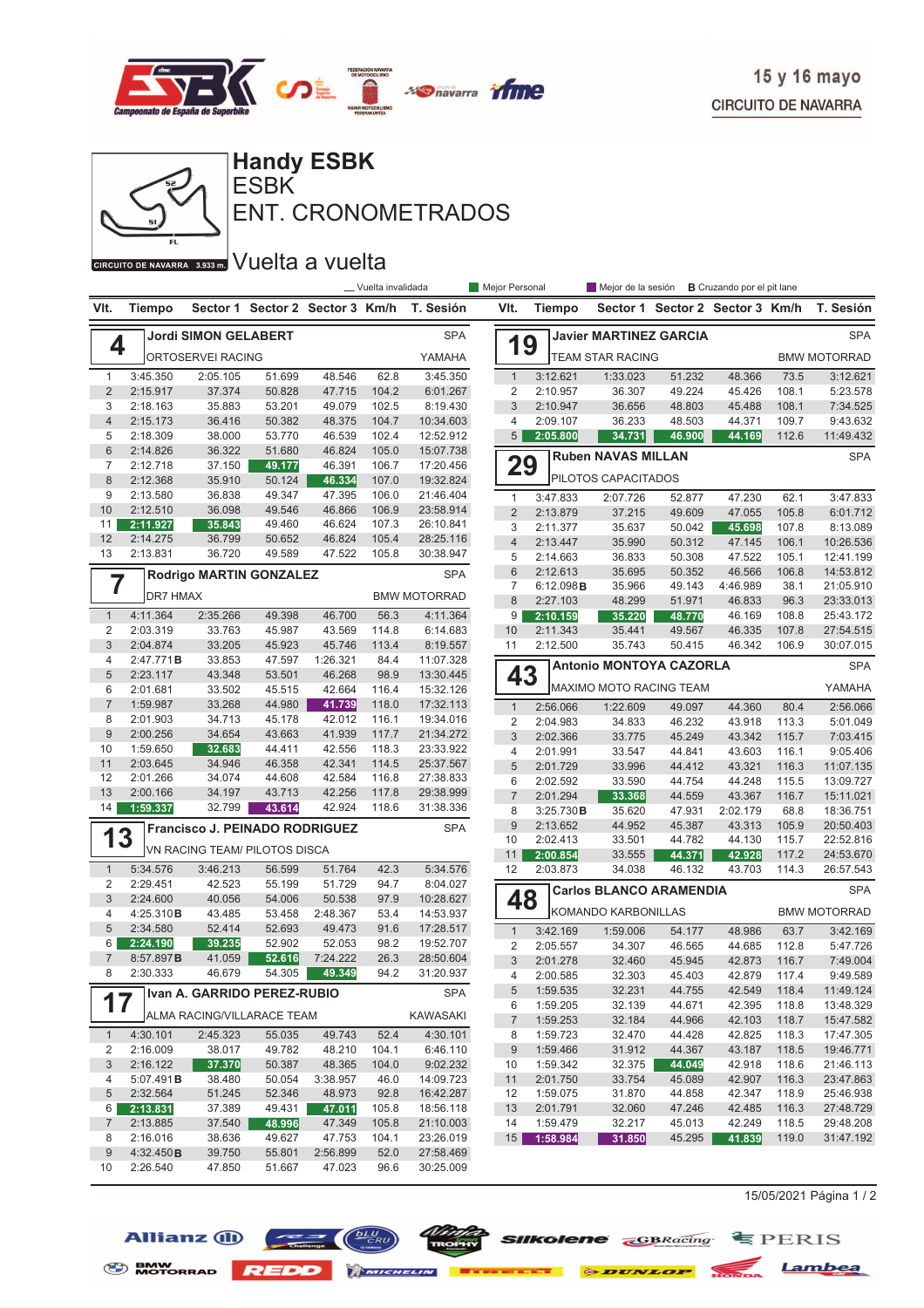



ENT. CRONOMETRADOS ESBK

CIRCUITO DE NAVARRA 3.933 m. VUelta a vuelta

|                           |                      | Mejor Personal<br>_ Vuelta invalidada |                                 |                  |                |                        | <b>B</b> Cruzando por el pit lane<br>Mejor de la sesión |                      |                                |                                 |                  |                |                        |
|---------------------------|----------------------|---------------------------------------|---------------------------------|------------------|----------------|------------------------|---------------------------------------------------------|----------------------|--------------------------------|---------------------------------|------------------|----------------|------------------------|
| VIt.                      | Tiempo               |                                       | Sector 1 Sector 2 Sector 3 Km/h |                  |                | T. Sesión              | VIt.                                                    | <b>Tiempo</b>        |                                | Sector 1 Sector 2 Sector 3 Km/h |                  |                | T. Sesión              |
|                           |                      | <b>Jordi SIMON GELABERT</b>           |                                 |                  |                | <b>SPA</b>             |                                                         |                      | <b>Javier MARTINEZ GARCIA</b>  |                                 |                  |                | <b>SPA</b>             |
| 4                         |                      | ORTOSERVEI RACING                     |                                 |                  |                | YAMAHA                 | 19                                                      |                      | <b>TEAM STAR RACING</b>        |                                 |                  |                | <b>BMW MOTORRAD</b>    |
| $\mathbf{1}$              | 3:45.350             | 2:05.105                              | 51.699                          | 48.546           | 62.8           | 3:45.350               | $\mathbf{1}$                                            | 3:12.621             | 1:33.023                       | 51.232                          | 48.366           | 73.5           | 3:12.621               |
| $\overline{2}$            | 2:15.917             | 37.374                                | 50.828                          | 47.715           | 104.2          | 6:01.267               | $\overline{2}$                                          | 2:10.957             | 36.307                         | 49.224                          | 45.426           | 108.1          | 5:23.578               |
| 3                         | 2:18.163             | 35.883                                | 53.201                          | 49.079           | 102.5          | 8:19.430               | 3                                                       | 2:10.947             | 36.656                         | 48.803                          | 45.488           | 108.1          | 7:34.525               |
| $\overline{4}$            | 2:15.173             | 36.416                                | 50.382                          | 48.375           | 104.7          | 10:34.603              | 4                                                       | 2:09.107             | 36.233                         | 48.503                          | 44.371           | 109.7          | 9:43.632               |
| 5                         | 2:18.309             | 38.000                                | 53.770                          | 46.539           | 102.4          | 12:52.912              | 5                                                       | 2:05.800             | 34.731                         | 46.900                          | 44.169           | 112.6          | 11:49.432              |
| $6\,$                     | 2:14.826             | 36.322                                | 51.680                          | 46.824           | 105.0          | 15:07.738              |                                                         |                      | <b>Ruben NAVAS MILLAN</b>      |                                 |                  |                | <b>SPA</b>             |
| $\overline{7}$<br>$\,8\,$ | 2:12.718<br>2:12.368 | 37.150<br>35.910                      | 49.177<br>50.124                | 46.391<br>46.334 | 106.7<br>107.0 | 17:20.456<br>19:32.824 | 29                                                      |                      | PILOTOS CAPACITADOS            |                                 |                  |                |                        |
| 9                         | 2:13.580             | 36.838                                | 49.347                          | 47.395           | 106.0          | 21:46.404              |                                                         |                      |                                |                                 |                  |                |                        |
| 10                        | 2:12.510             | 36.098                                | 49.546                          | 46.866           | 106.9          | 23:58.914              | $\mathbf{1}$                                            | 3:47.833             | 2:07.726                       | 52.877                          | 47.230           | 62.1           | 3:47.833               |
| 11                        | 2:11.927             | 35.843                                | 49.460                          | 46.624           | 107.3          | 26:10.841              | $\overline{2}$<br>3                                     | 2:13.879<br>2:11.377 | 37.215<br>35.637               | 49.609<br>50.042                | 47.055<br>45.698 | 105.8<br>107.8 | 6:01.712<br>8:13.089   |
| 12                        | 2:14.275             | 36.799                                | 50.652                          | 46.824           | 105.4          | 28:25.116              | $\overline{4}$                                          | 2:13.447             | 35.990                         | 50.312                          | 47.145           | 106.1          | 10:26.536              |
| 13                        | 2:13.831             | 36.720                                | 49.589                          | 47.522           | 105.8          | 30:38.947              | 5                                                       | 2:14.663             | 36.833                         | 50.308                          | 47.522           | 105.1          | 12:41.199              |
|                           |                      |                                       |                                 |                  |                | <b>SPA</b>             | 6                                                       | 2:12.613             | 35.695                         | 50.352                          | 46.566           | 106.8          | 14:53.812              |
| $\overline{7}$            |                      | Rodrigo MARTIN GONZALEZ               |                                 |                  |                |                        | $\overline{7}$                                          | 6:12.098B            | 35.966                         | 49.143                          | 4:46.989         | 38.1           | 21:05.910              |
|                           | DR7 HMAX             |                                       |                                 |                  |                | <b>BMW MOTORRAD</b>    | 8                                                       | 2:27.103             | 48.299                         | 51.971                          | 46.833           | 96.3           | 23:33.013              |
| $\mathbf{1}$              | 4:11.364             | 2:35.266                              | 49.398                          | 46.700           | 56.3           | 4:11.364               | 9                                                       | 2:10.159             | 35.220                         | 48.770                          | 46.169           | 108.8          | 25:43.172              |
| $\overline{2}$            | 2:03.319             | 33.763                                | 45.987                          | 43.569           | 114.8          | 6:14.683               | 10                                                      | 2:11.343             | 35.441                         | 49.567                          | 46.335           | 107.8          | 27:54.515              |
| 3                         | 2:04.874             | 33.205                                | 45.923                          | 45.746           | 113.4          | 8:19.557               | 11                                                      | 2:12.500             | 35.743                         | 50.415                          | 46.342           | 106.9          | 30:07.015              |
| 4                         | 2:47.771B            | 33.853                                | 47.597                          | 1:26.321         | 84.4           | 11:07.328              |                                                         |                      | <b>Antonio MONTOYA CAZORLA</b> |                                 |                  |                | <b>SPA</b>             |
| $\overline{5}$            | 2:23.117             | 43.348                                | 53.501                          | 46.268           | 98.9           | 13:30.445              | 43                                                      |                      |                                |                                 |                  |                |                        |
| 6                         | 2:01.681             | 33.502                                | 45.515                          | 42.664           | 116.4          | 15:32.126              |                                                         |                      | <b>MAXIMO MOTO RACING TEAM</b> |                                 |                  |                | YAMAHA                 |
| $\overline{7}$            | 1:59.987             | 33.268                                | 44.980                          | 41.739           | 118.0          | 17:32.113              | $\mathbf{1}$                                            | 2:56.066             | 1:22.609                       | 49.097                          | 44.360           | 80.4           | 2:56.066               |
| 8                         | 2:01.903             | 34.713                                | 45.178                          | 42.012           | 116.1          | 19:34.016              | $\overline{2}$                                          | 2:04.983             | 34.833                         | 46.232                          | 43.918           | 113.3          | 5:01.049               |
| 9                         | 2:00.256             | 34.654                                | 43.663                          | 41.939           | 117.7          | 21:34.272              | 3                                                       | 2:02.366             | 33.775                         | 45.249                          | 43.342           | 115.7          | 7:03.415               |
| 10                        | 1:59.650             | 32.683                                | 44.411                          | 42.556           | 118.3          | 23:33.922              | $\overline{4}$                                          | 2:01.991             | 33.547                         | 44.841                          | 43.603           | 116.1          | 9:05.406               |
| 11<br>12                  | 2:03.645             | 34.946                                | 46.358                          | 42.341<br>42.584 | 114.5          | 25:37.567              | 5                                                       | 2:01.729             | 33.996                         | 44.412                          | 43.321           | 116.3          | 11:07.135              |
| 13                        | 2:01.266<br>2:00.166 | 34.074<br>34.197                      | 44.608<br>43.713                | 42.256           | 116.8<br>117.8 | 27:38.833<br>29:38.999 | 6                                                       | 2:02.592             | 33.590                         | 44.754                          | 44.248           | 115.5          | 13:09.727              |
| 14                        | 1:59.337             | 32.799                                | 43.614                          | 42.924           | 118.6          | 31:38.336              | $\overline{7}$                                          | 2:01.294             | 33.368                         | 44.559                          | 43.367           | 116.7          | 15:11.021              |
|                           |                      |                                       |                                 |                  |                |                        | 8<br>9                                                  | 3:25.730B            | 35.620                         | 47.931                          | 2:02.179         | 68.8           | 18:36.751              |
| 1                         | 3                    | Francisco J. PEINADO RODRIGUEZ        |                                 |                  |                | <b>SPA</b>             | 10                                                      | 2:13.652<br>2:02.413 | 44.952<br>33.501               | 45.387<br>44.782                | 43.313<br>44.130 | 105.9<br>115.7 | 20:50.403<br>22:52.816 |
|                           |                      | VN RACING TEAM/ PILOTOS DISCA         |                                 |                  |                |                        | 11                                                      | 2:00.854             | 33.555                         | 44.371                          | 42.928           | 117.2          | 24:53.670              |
| $\mathbf{1}$              | 5:34.576             | 3:46.213                              | 56.599                          | 51.764           | 42.3           | 5:34.576               | 12                                                      | 2:03.873             | 34.038                         | 46.132                          | 43.703           | 114.3          | 26:57.543              |
| 2                         | 2:29.451             | 42.523                                | 55.199                          | 51.729           | 94.7           | 8:04.027               |                                                         |                      |                                |                                 |                  |                |                        |
| 3                         | 2:24.600             | 40.056                                | 54.006                          | 50.538           | 97.9           | 10:28.627              | 48                                                      |                      | <b>Carlos BLANCO ARAMENDIA</b> |                                 |                  |                | <b>SPA</b>             |
| 4                         | 4:25.310B            | 43.485                                | 53.458                          | 2:48.367         | 53.4           | 14:53.937              |                                                         |                      | KOMANDO KARBONILLAS            |                                 |                  |                | <b>BMW MOTORRAD</b>    |
| 5                         | 2:34.580             | 52.414                                | 52.693                          | 49.473           | 91.6           | 17:28.517              | $\mathbf{1}$                                            | 3:42.169             | 1:59.006                       | 54.177                          | 48.986           | 63.7           | 3:42.169               |
| 6                         | 2:24.190             | 39.235                                | 52.902                          | 52.053           | 98.2           | 19:52.707              | $\overline{2}$                                          | 2:05.557             | 34.307                         | 46.565                          | 44.685           | 112.8          | 5:47.726               |
| $\overline{7}$            | 8:57.897B            | 41.059                                | 52.616                          | 7:24.222         | 26.3           | 28:50.604              | 3                                                       | 2:01.278             | 32.460                         | 45.945                          | 42.873           | 116.7          | 7:49.004               |
| 8                         | 2:30.333             | 46.679                                | 54.305                          | 49.349           | 94.2           | 31:20.937              | $\overline{4}$                                          | 2:00.585             | 32.303                         | 45.403                          | 42.879           | 117.4          | 9:49.589               |
| 17                        |                      | Ivan A. GARRIDO PEREZ-RUBIO           |                                 |                  |                | <b>SPA</b>             | 5                                                       | 1:59.535             | 32.231                         | 44.755                          | 42.549           | 118.4          | 11:49.124              |
|                           |                      | ALMA RACING/VILLARACE TEAM            |                                 |                  |                | KAWASAKI               | 6                                                       | 1:59.205             | 32.139                         | 44.671                          | 42.395           | 118.8          | 13:48.329              |
| $\mathbf{1}$              | 4:30.101             | 2:45.323                              | 55.035                          | 49.743           | 52.4           | 4:30.101               | $\overline{7}$<br>8                                     | 1:59.253<br>1:59.723 | 32.184<br>32.470               | 44.966<br>44.428                | 42.103<br>42.825 | 118.7          | 15:47.582              |
| 2                         | 2:16.009             | 38.017                                | 49.782                          | 48.210           | 104.1          | 6:46.110               | 9                                                       | 1:59.466             | 31.912                         | 44.367                          | 43.187           | 118.3<br>118.5 | 17:47.305<br>19:46.771 |
| 3                         | 2:16.122             | 37.370                                | 50.387                          | 48.365           | 104.0          | 9:02.232               | 10                                                      | 1:59.342             | 32.375                         | 44.049                          | 42.918           | 118.6          | 21:46.113              |
| 4                         | 5:07.491B            | 38.480                                | 50.054                          | 3:38.957         | 46.0           | 14:09.723              | 11                                                      | 2:01.750             | 33.754                         | 45.089                          | 42.907           | 116.3          | 23:47.863              |
| $\sqrt{5}$                | 2:32.564             | 51.245                                | 52.346                          | 48.973           | 92.8           | 16:42.287              | 12                                                      | 1:59.075             | 31.870                         | 44.858                          | 42.347           | 118.9          | 25:46.938              |
| $6 \mid$                  | 2:13.831             | 37.389                                | 49.431                          | 47.011           | 105.8          | 18:56.118              | 13                                                      | 2:01.791             | 32.060                         | 47.246                          | 42.485           | 116.3          | 27:48.729              |
| $\overline{7}$            | 2:13.885             | 37.540                                | 48.996                          | 47.349           | 105.8          | 21:10.003              | 14                                                      | 1:59.479             | 32.217                         | 45.013                          | 42.249           | 118.5          | 29:48.208              |
| 8                         | 2:16.016             | 38.636                                | 49.627                          | 47.753           | 104.1          | 23:26.019              | 15 <sup>2</sup>                                         | 1:58.984             | 31.850                         | 45.295                          | 41.839           | 119.0          | 31:47.192              |
| 9                         | 4:32.450B            | 39.750                                | 55.801                          | 2:56.899         | 52.0           | 27:58.469              |                                                         |                      |                                |                                 |                  |                |                        |
| 10                        | 2:26.540             | 47.850                                | 51.667                          | 47.023           | 96.6           | 30:25.009              |                                                         |                      |                                |                                 |                  |                |                        |

 $15/05/2021$  Página 1 / 2

Allianz  $\bigoplus$   $\bigoplus$   $\bigoplus$ 



S BMW REDD REDD **ELECTED DUNLOP** Lambea

 $\frac{W_H}{1000}$  Silkolene  $\frac{G_{\text{B}Racing}}{W}$  = PERIS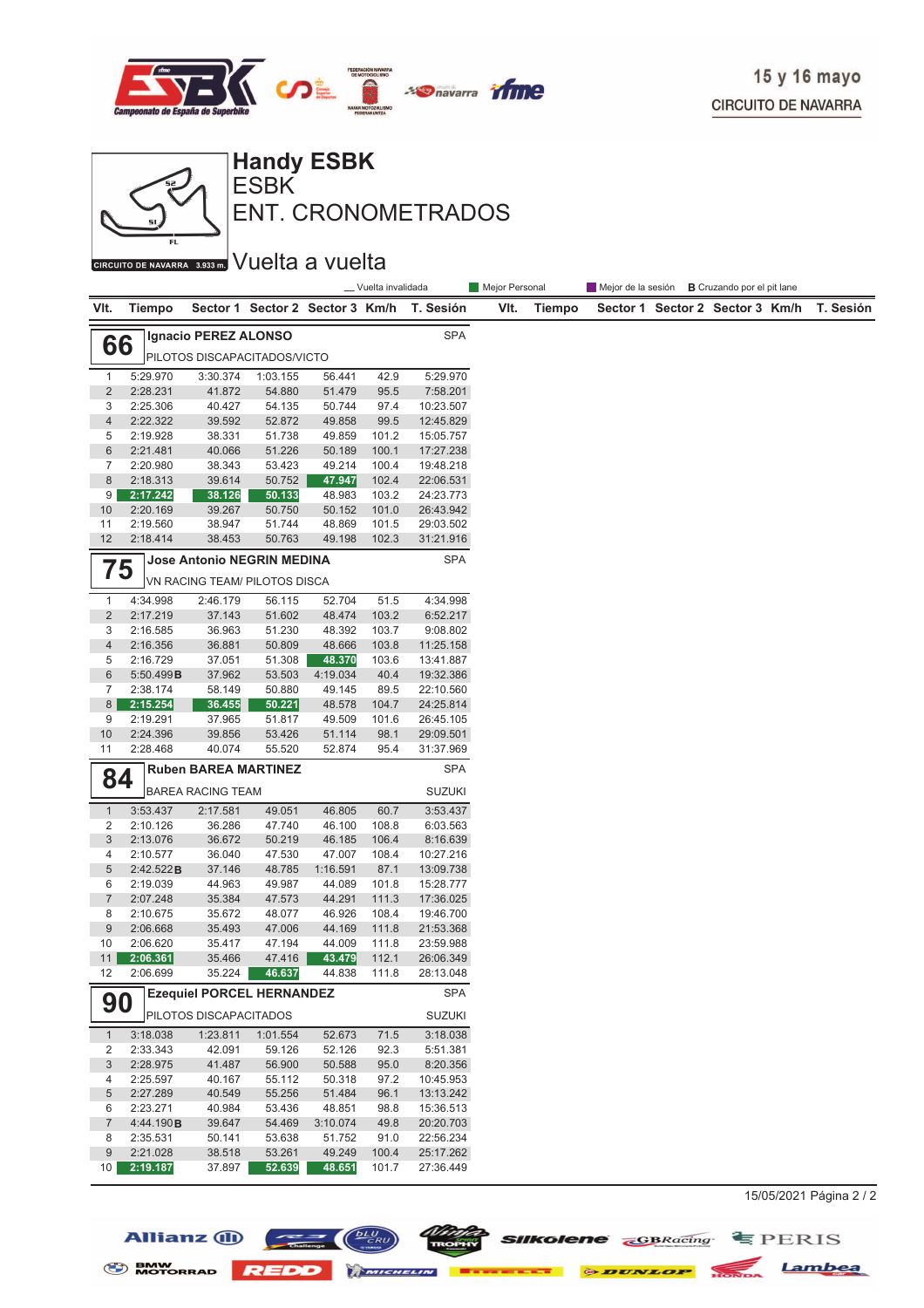



Allianz (II)

**DLU**CRU

ENT. CRONOMETRADOS

CIRCUITO DE NAVARRA 3.933 m. VUelta a vuelta

|                     |                       | _ Vuelta invalidada               |                                 |                    |                |                        | Mejor Personal<br>Mejor de la sesión <b>B</b> Cruzando por el pit lane |        |  |                                 |  |  |           |
|---------------------|-----------------------|-----------------------------------|---------------------------------|--------------------|----------------|------------------------|------------------------------------------------------------------------|--------|--|---------------------------------|--|--|-----------|
| VIt.                | <b>Tiempo</b>         |                                   | Sector 1 Sector 2 Sector 3 Km/h |                    |                | T. Sesión              | VIt.                                                                   | Tiempo |  | Sector 1 Sector 2 Sector 3 Km/h |  |  | T. Sesión |
|                     |                       | Ignacio PEREZ ALONSO              |                                 |                    |                | <b>SPA</b>             |                                                                        |        |  |                                 |  |  |           |
| 66                  |                       | PILOTOS DISCAPACITADOS/VICTO      |                                 |                    |                |                        |                                                                        |        |  |                                 |  |  |           |
| $\mathbf{1}$        | 5:29.970              | 3:30.374                          | 1:03.155                        | 56.441             | 42.9           | 5:29.970               |                                                                        |        |  |                                 |  |  |           |
| $\overline{2}$      | 2:28.231              | 41.872                            | 54.880                          | 51.479             | 95.5           | 7:58.201               |                                                                        |        |  |                                 |  |  |           |
| 3                   | 2:25.306              | 40.427                            | 54.135                          | 50.744             | 97.4           | 10:23.507              |                                                                        |        |  |                                 |  |  |           |
| $\overline{4}$      | 2:22.322              | 39.592                            | 52.872                          | 49.858             | 99.5           | 12:45.829              |                                                                        |        |  |                                 |  |  |           |
| 5                   | 2:19.928              | 38.331                            | 51.738                          | 49.859             | 101.2          | 15:05.757              |                                                                        |        |  |                                 |  |  |           |
| 6<br>$\overline{7}$ | 2:21.481              | 40.066                            | 51.226                          | 50.189<br>49.214   | 100.1<br>100.4 | 17:27.238              |                                                                        |        |  |                                 |  |  |           |
| 8                   | 2:20.980<br>2:18.313  | 38.343<br>39.614                  | 53.423<br>50.752                | 47.947             | 102.4          | 19:48.218<br>22:06.531 |                                                                        |        |  |                                 |  |  |           |
| 9 <sup>1</sup>      | 2:17.242              | 38.126                            | 50.133                          | 48.983             | 103.2          | 24:23.773              |                                                                        |        |  |                                 |  |  |           |
| 10                  | 2:20.169              | 39.267                            | 50.750                          | 50.152             | 101.0          | 26:43.942              |                                                                        |        |  |                                 |  |  |           |
| 11                  | 2:19.560              | 38.947                            | 51.744                          | 48.869             | 101.5          | 29:03.502              |                                                                        |        |  |                                 |  |  |           |
| 12                  | 2:18.414              | 38.453                            | 50.763                          | 49.198             | 102.3          | 31:21.916              |                                                                        |        |  |                                 |  |  |           |
|                     |                       | <b>Jose Antonio NEGRIN MEDINA</b> |                                 |                    |                | <b>SPA</b>             |                                                                        |        |  |                                 |  |  |           |
| 75                  |                       | VN RACING TEAM/ PILOTOS DISCA     |                                 |                    |                |                        |                                                                        |        |  |                                 |  |  |           |
| $\mathbf{1}$        | 4:34.998              | 2:46.179                          | 56.115                          | 52.704             | 51.5           | 4:34.998               |                                                                        |        |  |                                 |  |  |           |
| $\overline{2}$      | 2:17.219              | 37.143                            | 51.602                          | 48.474             | 103.2          | 6:52.217               |                                                                        |        |  |                                 |  |  |           |
| 3                   | 2:16.585              | 36.963                            | 51.230                          | 48.392             | 103.7          | 9:08.802               |                                                                        |        |  |                                 |  |  |           |
| $\overline{4}$      | 2:16.356              | 36.881                            | 50.809                          | 48.666             | 103.8          | 11:25.158              |                                                                        |        |  |                                 |  |  |           |
| 5                   | 2:16.729              | 37.051                            | 51.308                          | 48.370             | 103.6          | 13:41.887              |                                                                        |        |  |                                 |  |  |           |
| 6<br>7              | 5:50.499B<br>2:38.174 | 37.962<br>58.149                  | 53.503<br>50.880                | 4:19.034<br>49.145 | 40.4<br>89.5   | 19:32.386<br>22:10.560 |                                                                        |        |  |                                 |  |  |           |
| 8 <sup>1</sup>      | 2:15.254              | 36.455                            | 50.221                          | 48.578             | 104.7          | 24:25.814              |                                                                        |        |  |                                 |  |  |           |
| 9                   | 2:19.291              | 37.965                            | 51.817                          | 49.509             | 101.6          | 26:45.105              |                                                                        |        |  |                                 |  |  |           |
| 10                  | 2:24.396              | 39.856                            | 53.426                          | 51.114             | 98.1           | 29:09.501              |                                                                        |        |  |                                 |  |  |           |
| 11                  | 2:28.468              | 40.074                            | 55.520                          | 52.874             | 95.4           | 31:37.969              |                                                                        |        |  |                                 |  |  |           |
|                     |                       | <b>Ruben BAREA MARTINEZ</b>       |                                 |                    |                | <b>SPA</b>             |                                                                        |        |  |                                 |  |  |           |
| 84                  |                       | <b>BAREA RACING TEAM</b>          |                                 |                    |                | <b>SUZUKI</b>          |                                                                        |        |  |                                 |  |  |           |
| $\mathbf{1}$        | 3:53.437              | 2:17.581                          | 49.051                          | 46.805             | 60.7           | 3:53.437               |                                                                        |        |  |                                 |  |  |           |
| 2                   | 2:10.126              | 36.286                            | 47.740                          | 46.100             | 108.8          | 6:03.563               |                                                                        |        |  |                                 |  |  |           |
| $\sqrt{3}$          | 2:13.076              | 36.672                            | 50.219                          | 46.185             | 106.4          | 8:16.639               |                                                                        |        |  |                                 |  |  |           |
| 4                   | 2:10.577              | 36.040                            | 47.530                          | 47.007             | 108.4          | 10:27.216              |                                                                        |        |  |                                 |  |  |           |
| 5                   | 2:42.522B<br>2:19.039 | 37.146<br>44.963                  | 48.785                          | 1:16.591<br>44.089 | 87.1<br>101.8  | 13:09.738              |                                                                        |        |  |                                 |  |  |           |
| 6<br>$\overline{7}$ | 2:07.248              | 35.384                            | 49.987<br>47.573                | 44.291             | 111.3          | 15:28.777<br>17:36.025 |                                                                        |        |  |                                 |  |  |           |
| 8                   | 2:10.675              | 35.672                            | 48.077                          | 46.926             | 108.4          | 19:46.700              |                                                                        |        |  |                                 |  |  |           |
| 9                   | 2:06.668              | 35.493                            | 47.006                          | 44.169             | 111.8          | 21:53.368              |                                                                        |        |  |                                 |  |  |           |
| 10                  | 2:06.620              | 35.417                            | 47.194                          | 44.009             | 111.8          | 23:59.988              |                                                                        |        |  |                                 |  |  |           |
| 11                  | 2:06.361              | 35.466                            | 47.416                          | 43.479             | 112.1          | 26:06.349              |                                                                        |        |  |                                 |  |  |           |
| 12                  | 2:06.699              | 35.224                            | 46.637                          | 44.838             | 111.8          | 28:13.048              |                                                                        |        |  |                                 |  |  |           |
| 90                  |                       | <b>Ezequiel PORCEL HERNANDEZ</b>  |                                 |                    |                | <b>SPA</b>             |                                                                        |        |  |                                 |  |  |           |
|                     |                       | PILOTOS DISCAPACITADOS            |                                 |                    |                | <b>SUZUKI</b>          |                                                                        |        |  |                                 |  |  |           |
| 1                   | 3:18.038              | 1:23.811                          | 1:01.554                        | 52.673             | 71.5           | 3:18.038               |                                                                        |        |  |                                 |  |  |           |
| 2                   | 2:33.343              | 42.091                            | 59.126                          | 52.126             | 92.3           | 5:51.381               |                                                                        |        |  |                                 |  |  |           |
| 3                   | 2:28.975              | 41.487                            | 56.900                          | 50.588             | 95.0           | 8:20.356               |                                                                        |        |  |                                 |  |  |           |
| 4<br>5              | 2:25.597<br>2:27.289  | 40.167<br>40.549                  | 55.112<br>55.256                | 50.318<br>51.484   | 97.2<br>96.1   | 10:45.953<br>13:13.242 |                                                                        |        |  |                                 |  |  |           |
| 6                   | 2:23.271              | 40.984                            | 53.436                          | 48.851             | 98.8           | 15:36.513              |                                                                        |        |  |                                 |  |  |           |
| $\overline{7}$      | 4:44.190B             | 39.647                            | 54.469                          | 3:10.074           | 49.8           | 20:20.703              |                                                                        |        |  |                                 |  |  |           |
| 8                   | 2:35.531              | 50.141                            | 53.638                          | 51.752             | 91.0           | 22:56.234              |                                                                        |        |  |                                 |  |  |           |
| 9                   | 2:21.028              | 38.518                            | 53.261                          | 49.249             | 100.4          | 25:17.262              |                                                                        |        |  |                                 |  |  |           |
| 10 <sup>1</sup>     | 2:19.187              | 37.897                            | 52.639                          | 48.651             | 101.7          | 27:36.449              |                                                                        |        |  |                                 |  |  |           |

S BMW REDD MICHELIN **BERKELLE & DUNLOP** MONDA Lambea

15/05/2021 Página 2 / 2

**Ninter SIIKolene GBRacing** EPERIS